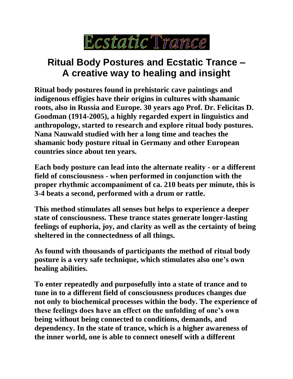

## **Ritual Body Postures and Ecstatic Trance – A creative way to healing and insight**

**Ritual body postures found in prehistoric cave paintings and indigenous effigies have their origins in cultures with shamanic roots, also in Russia and Europe. 30 years ago Prof. Dr. Felicitas D. Goodman (1914-2005), a highly regarded expert in linguistics and anthropology, started to research and explore ritual body postures. Nana Nauwald studied with her a long time and teaches the shamanic body posture ritual in Germany and other European countries since about ten years.** 

**Each body posture can lead into the alternate reality - or a different field of consciousness - when performed in conjunction with the proper rhythmic accompaniment of ca. 210 beats per minute, this is 3-4 beats a second, performed with a drum or rattle.**

**This method stimulates all senses but helps to experience a deeper state of consciousness. These trance states generate longer-lasting feelings of euphoria, joy, and clarity as well as the certainty of being sheltered in the connectedness of all things.** 

**As found with thousands of participants the method of ritual body posture is a very safe technique, which stimulates also one's own healing abilities.** 

**To enter repeatedly and purposefully into a state of trance and to tune in to a different field of consciousness produces changes due not only to biochemical processes within the body. The experience of these feelings does have an effect on the unfolding of one's own being without being connected to conditions, demands, and dependency. In the state of trance, which is a higher awareness of the inner world, one is able to connect oneself with a different**